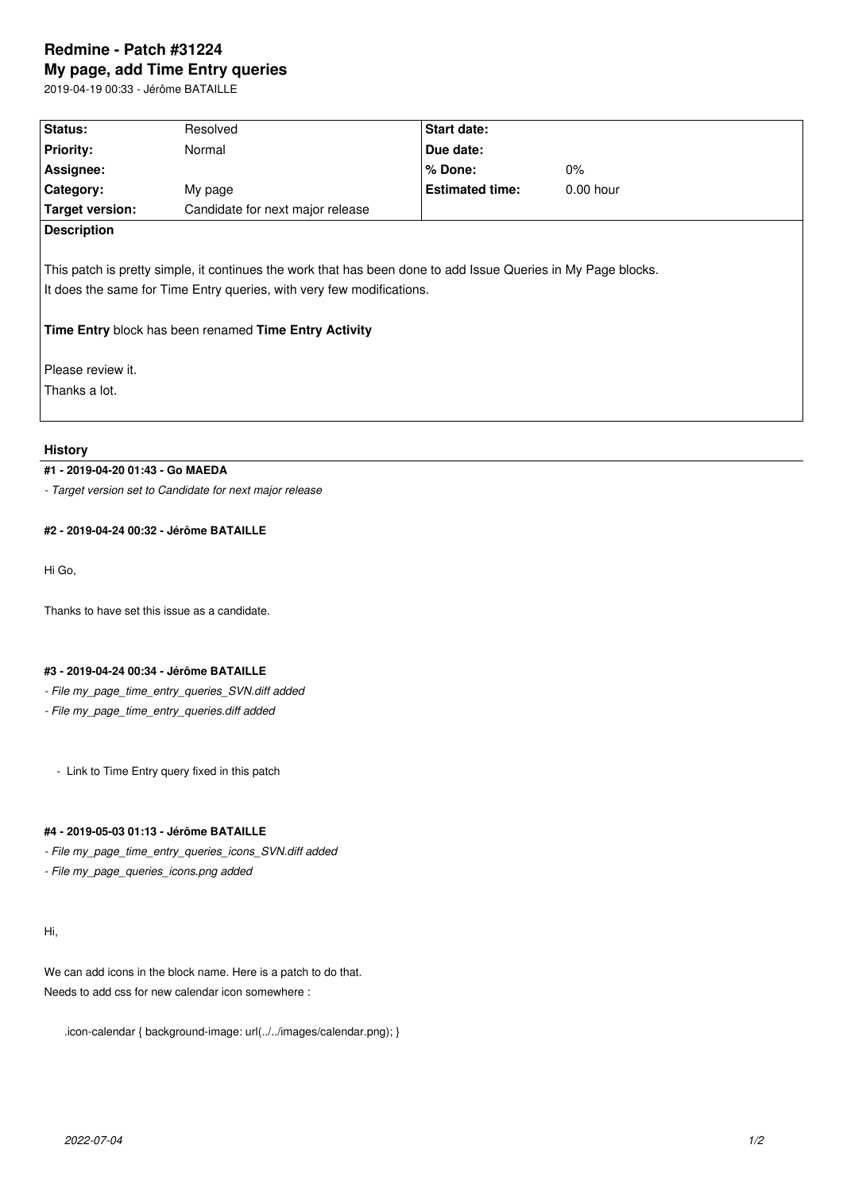# **Redmine - Patch #31224 My page, add Time Entry queries**

2019-04-19 00:33 - Jérôme BATAILLE

| Status:                                                                                                                                                                                                                                                                               | Resolved                         | Start date:            |             |  |  |
|---------------------------------------------------------------------------------------------------------------------------------------------------------------------------------------------------------------------------------------------------------------------------------------|----------------------------------|------------------------|-------------|--|--|
| <b>Priority:</b>                                                                                                                                                                                                                                                                      | Normal                           | Due date:              |             |  |  |
| Assignee:                                                                                                                                                                                                                                                                             |                                  | % Done:                | $0\%$       |  |  |
| Category:                                                                                                                                                                                                                                                                             | My page                          | <b>Estimated time:</b> | $0.00$ hour |  |  |
| <b>Target version:</b>                                                                                                                                                                                                                                                                | Candidate for next major release |                        |             |  |  |
| <b>Description</b>                                                                                                                                                                                                                                                                    |                                  |                        |             |  |  |
| This patch is pretty simple, it continues the work that has been done to add Issue Queries in My Page blocks.<br>It does the same for Time Entry queries, with very few modifications.<br>Time Entry block has been renamed Time Entry Activity<br>Please review it.<br>Thanks a lot. |                                  |                        |             |  |  |

## **History**

## **#1 - 2019-04-20 01:43 - Go MAEDA**

*- Target version set to Candidate for next major release*

## **#2 - 2019-04-24 00:32 - Jérôme BATAILLE**

Hi Go,

Thanks to have set this issue as a candidate.

### **#3 - 2019-04-24 00:34 - Jérôme BATAILLE**

- *File my\_page\_time\_entry\_queries\_SVN.diff added*
- *File my\_page\_time\_entry\_queries.diff added*
	- Link to Time Entry query fixed in this patch

## **#4 - 2019-05-03 01:13 - Jérôme BATAILLE**

- *File my\_page\_time\_entry\_queries\_icons\_SVN.diff added*
- *File my\_page\_queries\_icons.png added*

## Hi,

We can add icons in the block name. Here is a patch to do that. Needs to add css for new calendar icon somewhere :

.icon-calendar { background-image: url(../../images/calendar.png); }